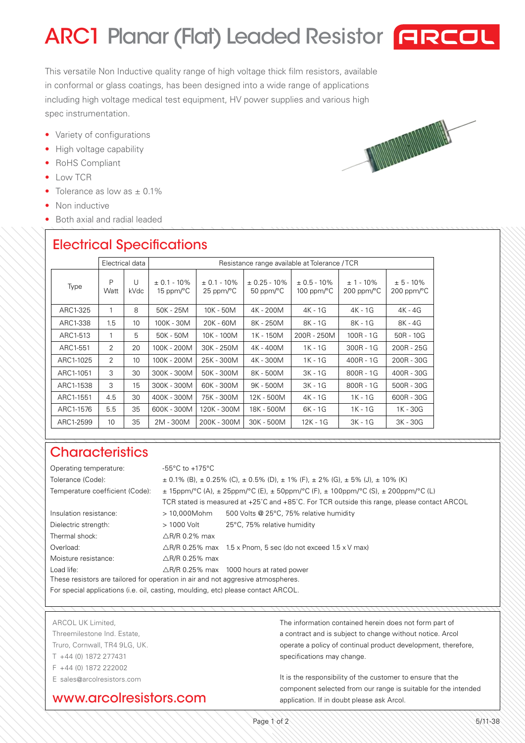# ARC1 Planar (Flat) Leaded Resistor **FIRCOL**

This versatile Non Inductive quality range of high voltage thick film resistors, available in conformal or glass coatings, has been designed into a wide range of applications including high voltage medical test equipment, HV power supplies and various high spec instrumentation.

- Variety of configurations
- High voltage capability
- RoHS Compliant
- Low TCR
- Tolerance as low as  $\pm$  0.1%
- Non inductive
- Both axial and radial leaded

## Electrical Specifications

|           | Electrical data |                 | Resistance range available at Tolerance / TCR |                                          |                                                  |                                         |                                        |                                        |
|-----------|-----------------|-----------------|-----------------------------------------------|------------------------------------------|--------------------------------------------------|-----------------------------------------|----------------------------------------|----------------------------------------|
| Type      | P<br>Watt       | U<br>kVdc       | $\pm$ 0.1 - 10%<br>15 ppm/ $\rm ^{\circ}C$    | $\pm$ 0.1 - 10%<br>$25$ ppm/ $\degree$ C | $\pm$ 0.25 - 10%<br>50 ppm/ $\mathrm{^{\circ}C}$ | $\pm$ 0.5 - 10%<br>100 ppm/ $\degree$ C | $± 1 - 10\%$<br>$200$ ppm/ $\degree$ C | $± 5 - 10\%$<br>$200$ ppm/ $\degree$ C |
| ARC1-325  | 1               | 8               | 50K - 25M                                     | 10K - 50M                                | 4K - 200M                                        | 4K - 1G                                 | 4K - 1G                                | 4K - 4G                                |
| ARC1-338  | 1.5             | 10              | 100K - 30M                                    | $20K - 60M$                              | 8K - 250M                                        | $8K - 1G$                               | $8K - 1G$                              | 8K - 4G                                |
| ARC1-513  | 1               | 5               | 50K - 50M                                     | 10K - 100M                               | 1K - 150M                                        | 200R - 250M                             | $100R - 1G$                            | $50R - 10G$                            |
| ARC1-551  | 2               | 20              | 100K - 200M                                   | 30K - 250M                               | 4K - 400M                                        | $1K - 1G$                               | $300R - 1G$                            | $200R - 25G$                           |
| ARC1-1025 | $\mathcal{P}$   | 10 <sup>1</sup> | 100K - 200M                                   | 25K - 300M                               | 4K - 300M                                        | 1K - 1G                                 | $400R - 1G$                            | $200R - 30G$                           |
| ARC1-1051 | 3               | 30              | 300K - 300M                                   | 50K - 300M                               | 8K - 500M                                        | $3K - 1G$                               | $800R - 1G$                            | $400R - 30G$                           |
| ARC1-1538 | 3               | 15              | 300K - 300M                                   | 60K - 300M                               | 9K - 500M                                        | 3K - 1G                                 | $800R - 1G$                            | 500R - 30G                             |
| ARC1-1551 | 4.5             | 30              | 400K - 300M                                   | 75K - 300M                               | 12K - 500M                                       | 4K - 1G                                 | 1K - 1G                                | 600R - 30G                             |
| ARC1-1576 | 5.5             | 35              | 600K - 300M                                   | 120K - 300M                              | 18K - 500M                                       | 6K - 1G                                 | 1K - 1G                                | 1K - 30G                               |
| ARC1-2599 | 10 <sup>°</sup> | 35              | 2M - 300M                                     | 200K - 300M                              | 30K - 500M                                       | 12K - 1G                                | $3K - 1G$                              | 3K - 30G                               |

### **Characteristics**

| Operating temperature:                                                            | $-55^{\circ}$ C to $+175^{\circ}$ C                                                                      |                                                                                             |  |  |  |  |
|-----------------------------------------------------------------------------------|----------------------------------------------------------------------------------------------------------|---------------------------------------------------------------------------------------------|--|--|--|--|
| Tolerance (Code):                                                                 | $\pm$ 0.1% (B), $\pm$ 0.25% (C), $\pm$ 0.5% (D), $\pm$ 1% (F), $\pm$ 2% (G), $\pm$ 5% (J), $\pm$ 10% (K) |                                                                                             |  |  |  |  |
| Temperature coefficient (Code):                                                   | $\pm$ 15ppm/°C (A), $\pm$ 25ppm/°C (E), $\pm$ 50ppm/°C (F), $\pm$ 100ppm/°C (S), $\pm$ 200ppm/°C (L)     |                                                                                             |  |  |  |  |
|                                                                                   |                                                                                                          | TCR stated is measured at +25°C and +85°C. For TCR outside this range, please contact ARCOL |  |  |  |  |
| Insulation resistance:                                                            | > 10,000Mohm                                                                                             | 500 Volts @ 25°C, 75% relative humidity                                                     |  |  |  |  |
| Dielectric strength:                                                              | > 1000 Volt                                                                                              | 25°C, 75% relative humidity                                                                 |  |  |  |  |
| Thermal shock:                                                                    | $\triangle$ R/R 0.2% max                                                                                 |                                                                                             |  |  |  |  |
| Overload:                                                                         |                                                                                                          | $\triangle$ R/R 0.25% max 1.5 x Pnom, 5 sec (do not exceed 1.5 x V max)                     |  |  |  |  |
| Moisture resistance:                                                              | $\triangle$ R/R 0.25% max                                                                                |                                                                                             |  |  |  |  |
| Load life:                                                                        |                                                                                                          | $\triangle$ R/R 0.25% max 1000 hours at rated power                                         |  |  |  |  |
| These resistors are tailored for operation in air and not aggresive atmospheres.  |                                                                                                          |                                                                                             |  |  |  |  |
| For special applications (i.e. oil, casting, moulding, etc) please contact ARCOL. |                                                                                                          |                                                                                             |  |  |  |  |

#### ARCOL UK Limited,

Threemilestone Ind. Estate, Truro, Cornwall, TR4 9LG, UK. T +44 (0) 1872 277431 F +44 (0) 1872 222002 E sales@arcolresistors.com

#### www.arcolresistors.com

The information contained herein does not form part of a contract and is subject to change without notice. Arcol operate a policy of continual product development, therefore, specifications may change.

It is the responsibility of the customer to ensure that the component selected from our range is suitable for the intended application. If in doubt please ask Arcol.